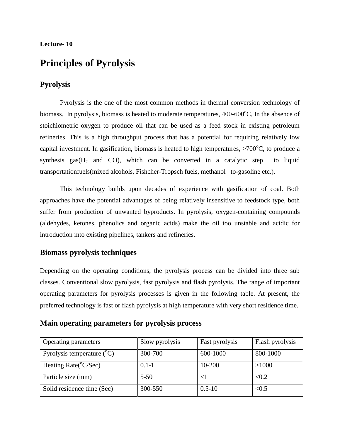#### **Lecture- 10**

# **Principles of Pyrolysis**

# **Pyrolysis**

Pyrolysis is the one of the most common methods in thermal conversion technology of biomass. In pyrolysis, biomass is heated to moderate temperatures,  $400-600^{\circ}$ C, In the absence of stoichiometric oxygen to produce oil that can be used as a feed stock in existing petroleum refineries. This is a high throughput process that has a potential for requiring relatively low capital investment. In gasification, biomass is heated to high temperatures,  $>700^{\circ}$ C, to produce a synthesis gas( $H_2$  and CO), which can be converted in a catalytic step to liquid transportationfuels(mixed alcohols, Fishcher-Tropsch fuels, methanol –to-gasoline etc.).

This technology builds upon decades of experience with gasification of coal. Both approaches have the potential advantages of being relatively insensitive to feedstock type, both suffer from production of unwanted byproducts. In pyrolysis, oxygen-containing compounds (aldehydes, ketones, phenolics and organic acids) make the oil too unstable and acidic for introduction into existing pipelines, tankers and refineries.

#### **Biomass pyrolysis techniques**

Depending on the operating conditions, the pyrolysis process can be divided into three sub classes. Conventional slow pyrolysis, fast pyrolysis and flash pyrolysis. The range of important operating parameters for pyrolysis processes is given in the following table. At present, the preferred technology is fast or flash pyrolysis at high temperature with very short residence time.

# **Main operating parameters for pyrolysis process**

| Operating parameters                  | Slow pyrolysis | Fast pyrolysis | Flash pyrolysis |
|---------------------------------------|----------------|----------------|-----------------|
| Pyrolysis temperature $({}^{\circ}C)$ | 300-700        | 600-1000       | 800-1000        |
| Heating Rate( $\rm{^{\circ}C/Sec}$ )  | $0.1 - 1$      | 10-200         | >1000           |
| Particle size (mm)                    | $5 - 50$       | $\leq$ 1       | < 0.2           |
| Solid residence time (Sec)            | 300-550        | $0.5 - 10$     | < 0.5           |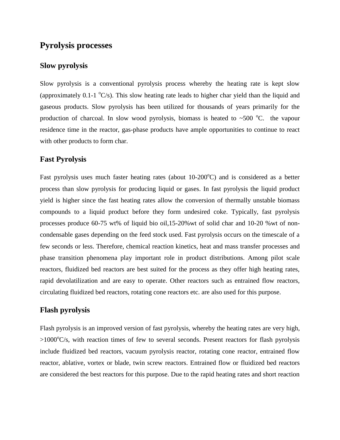# **Pyrolysis processes**

# **Slow pyrolysis**

Slow pyrolysis is a conventional pyrolysis process whereby the heating rate is kept slow (approximately 0.1-1  $\textdegree$ C/s). This slow heating rate leads to higher char yield than the liquid and gaseous products. Slow pyrolysis has been utilized for thousands of years primarily for the production of charcoal. In slow wood pyrolysis, biomass is heated to  $\sim$ 500 °C. the vapour residence time in the reactor, gas-phase products have ample opportunities to continue to react with other products to form char.

#### **Fast Pyrolysis**

Fast pyrolysis uses much faster heating rates (about  $10{\text -}200^{\circ}$ C) and is considered as a better process than slow pyrolysis for producing liquid or gases. In fast pyrolysis the liquid product yield is higher since the fast heating rates allow the conversion of thermally unstable biomass compounds to a liquid product before they form undesired coke. Typically, fast pyrolysis processes produce 60-75 wt% of liquid bio oil,15-20%wt of solid char and 10-20 %wt of noncondensable gases depending on the feed stock used. Fast pyrolysis occurs on the timescale of a few seconds or less. Therefore, chemical reaction kinetics, heat and mass transfer processes and phase transition phenomena play important role in product distributions. Among pilot scale reactors, fluidized bed reactors are best suited for the process as they offer high heating rates, rapid devolatilization and are easy to operate. Other reactors such as entrained flow reactors, circulating fluidized bed reactors, rotating cone reactors etc. are also used for this purpose.

#### **Flash pyrolysis**

Flash pyrolysis is an improved version of fast pyrolysis, whereby the heating rates are very high,  $>1000^{\circ}C/s$ , with reaction times of few to several seconds. Present reactors for flash pyrolysis include fluidized bed reactors, vacuum pyrolysis reactor, rotating cone reactor, entrained flow reactor, ablative, vortex or blade, twin screw reactors. Entrained flow or fluidized bed reactors are considered the best reactors for this purpose. Due to the rapid heating rates and short reaction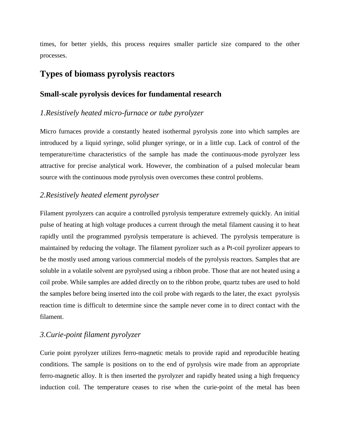times, for better yields, this process requires smaller particle size compared to the other processes.

# **Types of biomass pyrolysis reactors**

#### **Small-scale pyrolysis devices for fundamental research**

#### *1.Resistively heated micro-furnace or tube pyrolyzer*

Micro furnaces provide a constantly heated isothermal pyrolysis zone into which samples are introduced by a liquid syringe, solid plunger syringe, or in a little cup. Lack of control of the temperature/time characteristics of the sample has made the continuous-mode pyrolyzer less attractive for precise analytical work. However, the combination of a pulsed molecular beam source with the continuous mode pyrolysis oven overcomes these control problems.

#### *2.Resistively heated element pyrolyser*

Filament pyrolyzers can acquire a controlled pyrolysis temperature extremely quickly. An initial pulse of heating at high voltage produces a current through the metal filament causing it to heat rapidly until the programmed pyrolysis temperature is achieved. The pyrolysis temperature is maintained by reducing the voltage. The filament pyrolizer such as a Pt-coil pyrolizer appears to be the mostly used among various commercial models of the pyrolysis reactors. Samples that are soluble in a volatile solvent are pyrolysed using a ribbon probe. Those that are not heated using a coil probe. While samples are added directly on to the ribbon probe, quartz tubes are used to hold the samples before being inserted into the coil probe with regards to the later, the exact pyrolysis reaction time is difficult to determine since the sample never come in to direct contact with the filament.

#### *3.Curie-point filament pyrolyzer*

Curie point pyrolyzer utilizes ferro-magnetic metals to provide rapid and reproducible heating conditions. The sample is positions on to the end of pyrolysis wire made from an appropriate ferro-magnetic alloy. It is then inserted the pyrolyzer and rapidly heated using a high frequency induction coil. The temperature ceases to rise when the curie-point of the metal has been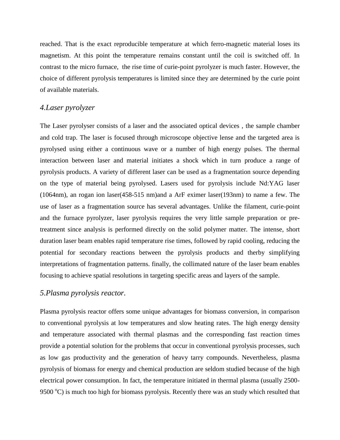reached. That is the exact reproducible temperature at which ferro-magnetic material loses its magnetism. At this point the temperature remains constant until the coil is switched off. In contrast to the micro furnace, the rise time of curie-point pyrolyzer is much faster. However, the choice of different pyrolysis temperatures is limited since they are determined by the curie point of available materials.

### *4.Laser pyrolyzer*

The Laser pyrolyser consists of a laser and the associated optical devices , the sample chamber and cold trap. The laser is focused through microscope objective lense and the targeted area is pyrolysed using either a continuous wave or a number of high energy pulses. The thermal interaction between laser and material initiates a shock which in turn produce a range of pyrolysis products. A variety of different laser can be used as a fragmentation source depending on the type of material being pyrolysed. Lasers used for pyrolysis include Nd:YAG laser (1064nm), an rogan ion laser(458-515 nm)and a ArF eximer laser(193nm) to name a few. The use of laser as a fragmentation source has several advantages. Unlike the filament, curie-point and the furnace pyrolyzer, laser pyrolysis requires the very little sample preparation or pretreatment since analysis is performed directly on the solid polymer matter. The intense, short duration laser beam enables rapid temperature rise times, followed by rapid cooling, reducing the potential for secondary reactions between the pyrolysis products and therby simplifying interpretations of fragmentation patterns. finally, the collimated nature of the laser beam enables focusing to achieve spatial resolutions in targeting specific areas and layers of the sample.

#### *5.Plasma pyrolysis reactor.*

Plasma pyrolysis reactor offers some unique advantages for biomass conversion, in comparison to conventional pyrolysis at low temperatures and slow heating rates. The high energy density and temperature associated with thermal plasmas and the corresponding fast reaction times provide a potential solution for the problems that occur in conventional pyrolysis processes, such as low gas productivity and the generation of heavy tarry compounds. Nevertheless, plasma pyrolysis of biomass for energy and chemical production are seldom studied because of the high electrical power consumption. In fact, the temperature initiated in thermal plasma (usually 2500- 9500  $^{\circ}$ C) is much too high for biomass pyrolysis. Recently there was an study which resulted that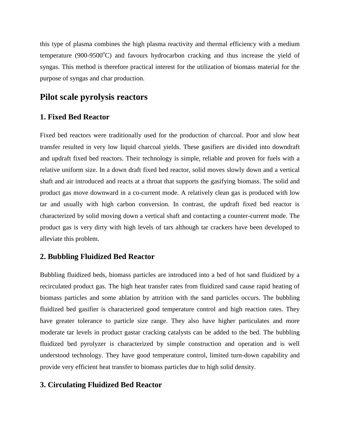this type of plasma combines the high plasma reactivity and thermal efficiency with a medium temperature (900-9500 $\degree$ C) and favours hydrocarbon cracking and thus increase the yield of syngas. This method is therefore practical interest for the utilization of biomass material for the purpose of syngas and char production.

# **Pilot scale pyrolysis reactors**

# **1. Fixed Bed Reactor**

Fixed bed reactors were traditionally used for the production of charcoal. Poor and slow heat transfer resulted in very low liquid charcoal yields. These gasifiers are divided into downdraft and updraft fixed bed reactors. Their technology is simple, reliable and proven for fuels with a relative uniform size. In a down draft fixed bed reactor, solid moves slowly down and a vertical shaft and air introduced and reacts at a throat that supports the gasifying biomass. The solid and product gas move downward in a co-current mode. A relatively clean gas is produced with low tar and usually with high carbon conversion. In contrast, the updraft fixed bed reactor is characterized by solid moving down a vertical shaft and contacting a counter-current mode. The product gas is very dirty with high levels of tars although tar crackers have been developed to alleviate this problem.

# **2. Bubbling Fluidized Bed Reactor**

Bubbling fluidized beds, biomass particles are introduced into a bed of hot sand fluidized by a recirculated product gas. The high heat transfer rates from fluidized sand cause rapid heating of biomass particles and some ablation by attrition with the sand particles occurs. The bubbling fluidized bed gasifier is characterized good temperature control and high reaction rates. They have greater tolerance to particle size range. They also have higher particulates and more moderate tar levels in product gastar cracking catalysts can be added to the bed. The bubbling fluidized bed pyrolyzer is characterized by simple construction and operation and is well understood technology. They have good temperature control, limited turn-down capability and provide very efficient heat transfer to biomass particles due to high solid density.

# **3. Circulating Fluidized Bed Reactor**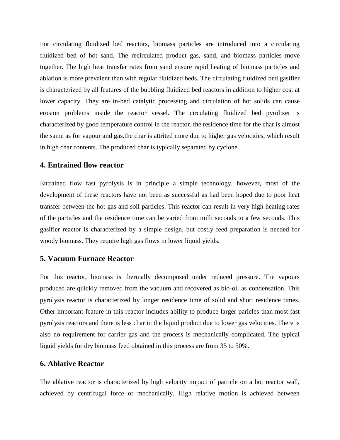For circulating fluidized bed reactors, biomass particles are introduced into a circulating fluidized bed of hot sand. The recirculated product gas, sand, and biomass particles move together. The high heat transfer rates from sand ensure rapid heating of biomass particles and ablation is more prevalent than with regular fluidized beds. The circulating fluidized bed gasifier is characterized by all features of the bubbling fluidized bed reactors in addition to higher cost at lower capacity. They are in-bed catalytic processing and circulation of hot solids can cause erosion problems inside the reactor vessel. The circulating fluidized bed pyrolizer is characterized by good temperature control in the reactor. the residence time for the char is almost the same as for vapour and gas.the char is attrited more due to higher gas velocities, which result in high char contents. The produced char is typically separated by cyclone.

#### **4. Entrained flow reactor**

Entrained flow fast pyrolysis is in principle a simple technology. however, most of the development of these reactors have not been as successful as had been hoped due to poor heat transfer between the hot gas and soil particles. This reactor can result in very high heating rates of the particles and the residence time can be varied from milli seconds to a few seconds. This gasifier reactor is characterized by a simple design, but costly feed preparation is needed for woody biomass. They require high gas flows in lower liquid yields.

#### **5. Vacuum Furnace Reactor**

For this reactor, biomass is thermally decomposed under reduced pressure. The vapours produced are quickly removed from the vacuum and recovered as bio-oil as condensation. This pyrolysis reactor is characterized by longer residence time of solid and short residence times. Other important feature in this reactor includes ability to produce larger paricles than most fast pyrolysis reactors and there is less char in the liquid product due to lower gas velocities. There is also no requirement for carrier gas and the process is mechanically complicated. The typical liquid yields for dry biomass feed obtained in this process are from 35 to 50%.

#### **6. Ablative Reactor**

The ablative reactor is characterized by high velocity impact of particle on a hot reactor wall, achieved by centrifugal force or mechanically. High relative motion is achieved between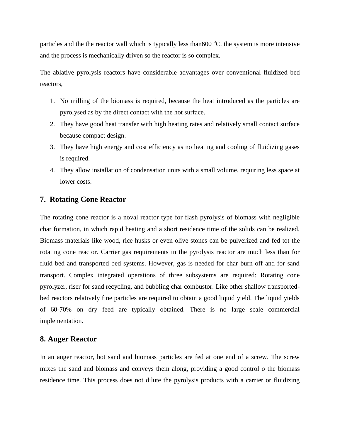particles and the the reactor wall which is typically less than 600  $^{\circ}$ C. the system is more intensive and the process is mechanically driven so the reactor is so complex.

The ablative pyrolysis reactors have considerable advantages over conventional fluidized bed reactors,

- 1. No milling of the biomass is required, because the heat introduced as the particles are pyrolysed as by the direct contact with the hot surface.
- 2. They have good heat transfer with high heating rates and relatively small contact surface because compact design.
- 3. They have high energy and cost efficiency as no heating and cooling of fluidizing gases is required.
- 4. They allow installation of condensation units with a small volume, requiring less space at lower costs.

# **7. Rotating Cone Reactor**

The rotating cone reactor is a noval reactor type for flash pyrolysis of biomass with negligible char formation, in which rapid heating and a short residence time of the solids can be realized. Biomass materials like wood, rice husks or even olive stones can be pulverized and fed tot the rotating cone reactor. Carrier gas requirements in the pyrolysis reactor are much less than for fluid bed and transported bed systems. However, gas is needed for char burn off and for sand transport. Complex integrated operations of three subsystems are required: Rotating cone pyrolyzer, riser for sand recycling, and bubbling char combustor. Like other shallow transportedbed reactors relatively fine particles are required to obtain a good liquid yield. The liquid yields of 60-70% on dry feed are typically obtained. There is no large scale commercial implementation.

# **8. Auger Reactor**

In an auger reactor, hot sand and biomass particles are fed at one end of a screw. The screw mixes the sand and biomass and conveys them along, providing a good control o the biomass residence time. This process does not dilute the pyrolysis products with a carrier or fluidizing